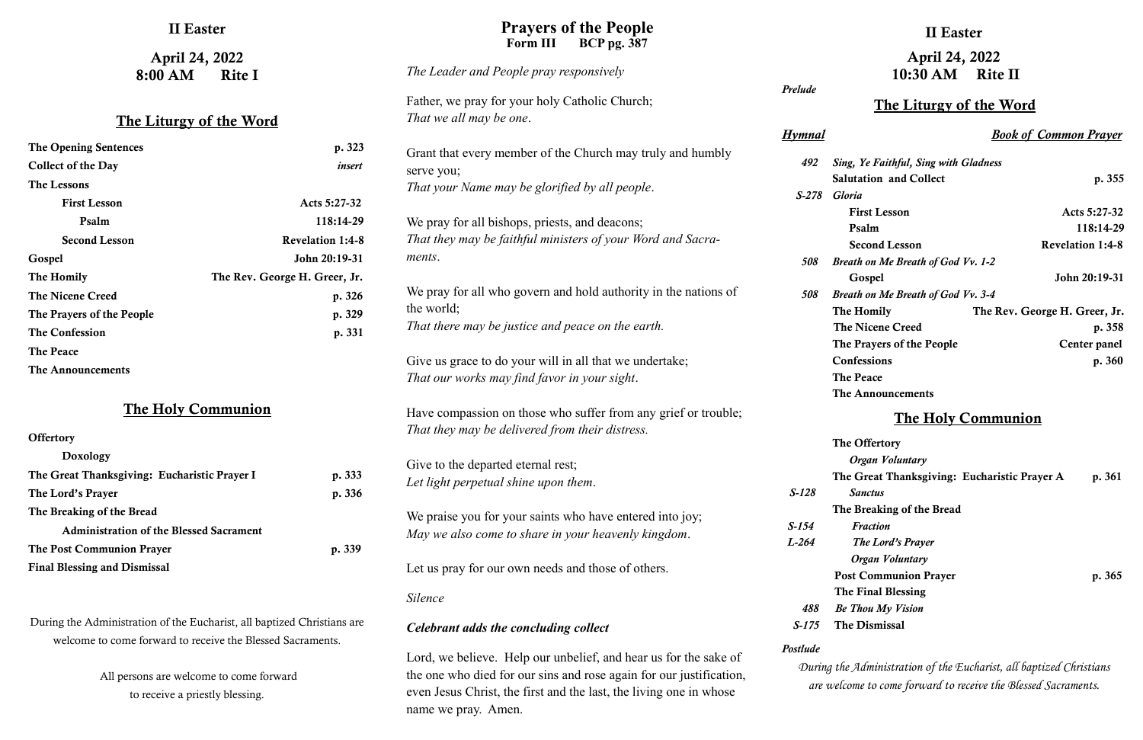### II Easter

April 24, 2022 8:00 AM Rite I

#### The Liturgy of the Word

| <b>The Opening Sentences</b> | p. 323                        |
|------------------------------|-------------------------------|
| <b>Collect of the Day</b>    | insert                        |
| The Lessons                  |                               |
| <b>First Lesson</b>          | Acts 5:27-32                  |
| Psalm                        | 118:14-29                     |
| <b>Second Lesson</b>         | <b>Revelation 1:4-8</b>       |
| Gospel                       | John 20:19-31                 |
| The Homily                   | The Rev. George H. Greer, Jr. |
| <b>The Nicene Creed</b>      | p. 326                        |
| The Prayers of the People    | p. 329                        |
| <b>The Confession</b>        | p. 331                        |
| <b>The Peace</b>             |                               |
| The Announcements            |                               |

# **Offertory** Doxology The Great Thanksgiving: Eucharistic Prayer I p. 333 The Lord's Prayer p. 336 The Breaking of the Bread Administration of the Blessed Sacrament The Post Communion Prayer p. 339 Final Blessing and Dismissal

#### The Holy Communion

During the Administration of the Eucharist, all baptized Christians are welcome to come forward to receive the Blessed Sacraments.

> All persons are welcome to come forward to receive a priestly blessing.

## II Easter

# April 24, 2022 10:30 AM Rite II

### The Liturgy of the Word

#### **Prayers of the People** Form III BCP pg. 387

*Hymnal Book of Common Prayer*

| 492   | <b>Sing, Ye Faithful, Sing with Gladness</b> |                               |
|-------|----------------------------------------------|-------------------------------|
|       | <b>Salutation and Collect</b>                | p. 355                        |
| S-278 | <b>Gloria</b>                                |                               |
|       | <b>First Lesson</b>                          | Acts 5:27-32                  |
|       | Psalm                                        | 118:14-29                     |
|       | <b>Second Lesson</b>                         | <b>Revelation 1:4-8</b>       |
| 508   | <b>Breath on Me Breath of God Vv. 1-2</b>    |                               |
|       | Gospel                                       | John 20:19-31                 |
| 508   | <b>Breath on Me Breath of God Vv. 3-4</b>    |                               |
|       | The Homily                                   | The Rev. George H. Greer, Jr. |
|       | <b>The Nicene Creed</b>                      | p. 358                        |
|       | The Prayers of the People                    | Center panel                  |
|       | <b>Confessions</b>                           | p. 360                        |
|       | <b>The Peace</b>                             |                               |
|       | The Announcements                            |                               |

#### The Holy Communion

|               | The Offertory                                |        |
|---------------|----------------------------------------------|--------|
|               | Organ Voluntary                              |        |
|               | The Great Thanksgiving: Eucharistic Prayer A | p. 361 |
| $S-128$       | <b>Sanctus</b>                               |        |
|               | The Breaking of the Bread                    |        |
| S-154         | Fraction                                     |        |
| <i>I</i> -264 | The Lord's Prayer                            |        |
|               | Organ Voluntary                              |        |
|               | <b>Post Communion Prayer</b>                 | p. 365 |
|               | The Final Blessing                           |        |
| 488           | <b>Be Thou My Vision</b>                     |        |
| $S-175$       | <b>The Dismissal</b>                         |        |
|               |                                              |        |

*During the Administration of the Eucharist, all baptized Christians are welcome to come forward to receive the Blessed Sacraments.*

*Prelude 492 Si S-278 Gloria 508 Br 508 Br* The Peace True The  $T1$  *S-128 Sanctus S-154 Fraction L-264 The Lord's Prayer 488 Be Thou My Vision S-175* T *Postlude The Leader and People pray responsively* Father, we pray for your holy Catholic Church; *That we all may be one*. Grant that every member of the Church may truly and humbly serve you; *That your Name may be glorified by all people*. We pray for all bishops, priests, and deacons; *That they may be faithful ministers of your Word and Sacraments*. We pray for all who govern and hold authority in the nations of the world; *That there may be justice and peace on the earth.* Give us grace to do your will in all that we undertake; *That our works may find favor in your sight*. Have compassion on those who suffer from any grief or trouble; *That they may be delivered from their distress.* Give to the departed eternal rest; *Let light perpetual shine upon them*. We praise you for your saints who have entered into joy; *May we also come to share in your heavenly kingdom*. Let us pray for our own needs and those of others. *Silence Celebrant adds the concluding collect*

Lord, we believe. Help our unbelief, and hear us for the sake of the one who died for our sins and rose again for our justification, even Jesus Christ, the first and the last, the living one in whose name we pray. Amen.